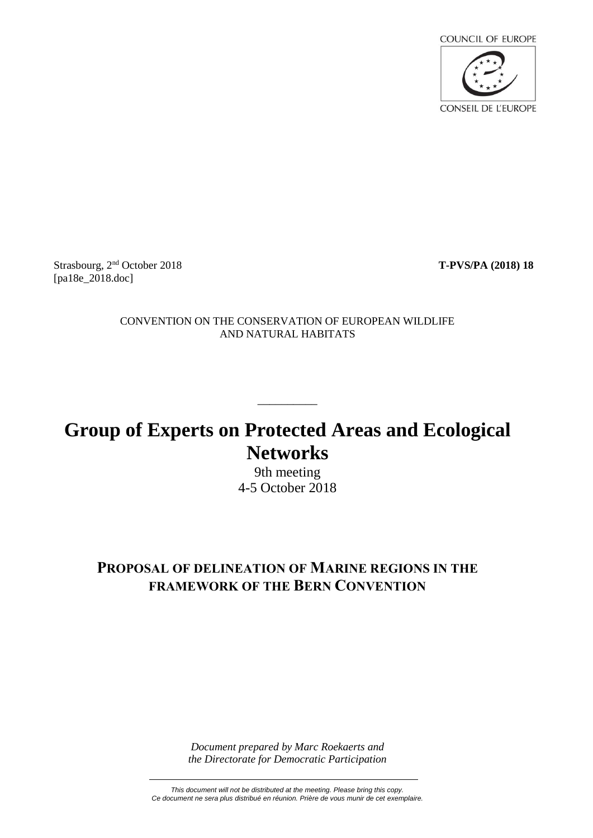

Strasbourg, 2<sup>nd</sup> October 2018 [pa18e 2018.doc]

nd October 2018 **T-PVS/PA (2018) 18**

CONVENTION ON THE CONSERVATION OF EUROPEAN WILDLIFE AND NATURAL HABITATS

# **Group of Experts on Protected Areas and Ecological Networks**

\_\_\_\_\_\_\_\_\_\_

9th meeting 4-5 October 2018

### **PROPOSAL OF DELINEATION OF MARINE REGIONS IN THE FRAMEWORK OF THE BERN CONVENTION**

*Document prepared by Marc Roekaerts and the Directorate for Democratic Participation*

*This document will not be distributed at the meeting. Please bring this copy. Ce document ne sera plus distribué en réunion. Prière de vous munir de cet exemplaire.*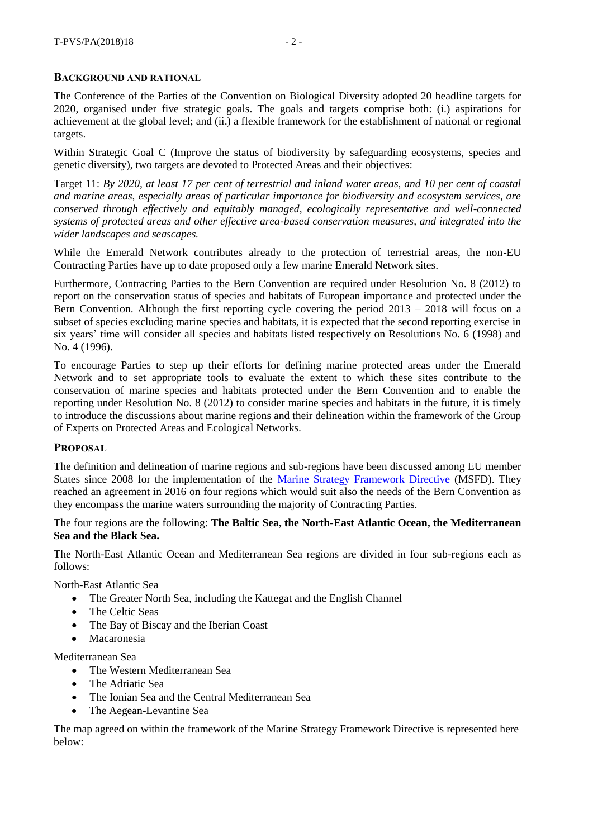#### **BACKGROUND AND RATIONAL**

The Conference of the Parties of the Convention on Biological Diversity adopted 20 headline targets for 2020, organised under five strategic goals. The goals and targets comprise both: (i.) aspirations for achievement at the global level; and (ii.) a flexible framework for the establishment of national or regional targets.

Within Strategic Goal C (Improve the status of biodiversity by safeguarding ecosystems, species and genetic diversity), two targets are devoted to Protected Areas and their objectives:

Target 11: *By 2020, at least 17 per cent of terrestrial and inland water areas, and 10 per cent of coastal and marine areas, especially areas of particular importance for biodiversity and ecosystem services, are conserved through effectively and equitably managed, ecologically representative and well-connected systems of protected areas and other effective area-based conservation measures, and integrated into the wider landscapes and seascapes.*

While the Emerald Network contributes already to the protection of terrestrial areas, the non-EU Contracting Parties have up to date proposed only a few marine Emerald Network sites.

Furthermore, Contracting Parties to the Bern Convention are required under Resolution No. 8 (2012) to report on the conservation status of species and habitats of European importance and protected under the Bern Convention. Although the first reporting cycle covering the period 2013 – 2018 will focus on a subset of species excluding marine species and habitats, it is expected that the second reporting exercise in six years' time will consider all species and habitats listed respectively on Resolutions No. 6 (1998) and No. 4 (1996).

To encourage Parties to step up their efforts for defining marine protected areas under the Emerald Network and to set appropriate tools to evaluate the extent to which these sites contribute to the conservation of marine species and habitats protected under the Bern Convention and to enable the reporting under Resolution No. 8 (2012) to consider marine species and habitats in the future, it is timely to introduce the discussions about marine regions and their delineation within the framework of the Group of Experts on Protected Areas and Ecological Networks.

#### **PROPOSAL**

The definition and delineation of marine regions and sub-regions have been discussed among EU member States since 2008 for the implementation of the [Marine Strategy Framework Directive](https://eur-lex.europa.eu/legal-content/EN/TXT/?uri=CELEX:32008L0056) (MSFD). They reached an agreement in 2016 on four regions which would suit also the needs of the Bern Convention as they encompass the marine waters surrounding the majority of Contracting Parties.

#### The four regions are the following: **The Baltic Sea, the North-East Atlantic Ocean, the Mediterranean Sea and the Black Sea.**

The North-East Atlantic Ocean and Mediterranean Sea regions are divided in four sub-regions each as follows:

North-East Atlantic Sea

- The Greater North Sea, including the Kattegat and the English Channel
- The Celtic Seas
- The Bay of Biscay and the Iberian Coast
- Macaronesia

Mediterranean Sea

- The Western Mediterranean Sea
- The Adriatic Sea
- The Ionian Sea and the Central Mediterranean Sea
- The Aegean-Levantine Sea

The map agreed on within the framework of the Marine Strategy Framework Directive is represented here below: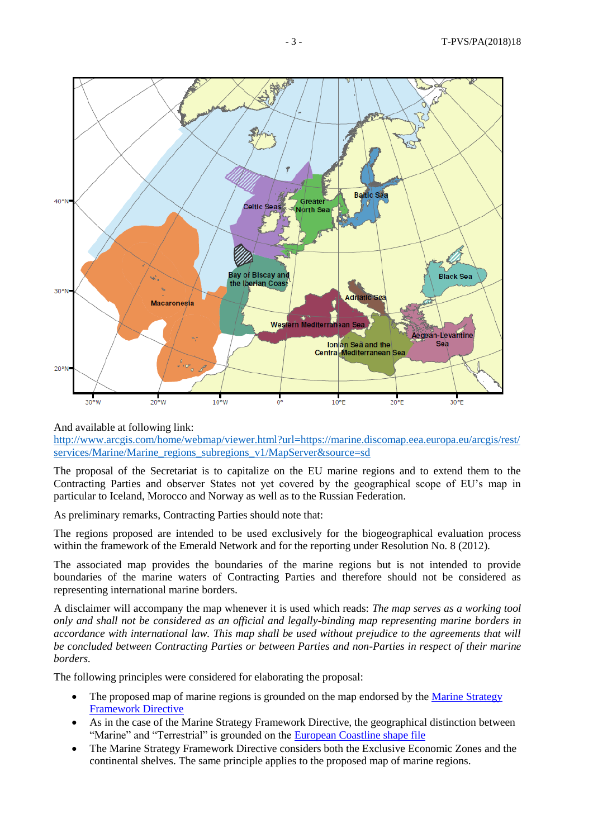

And available at following link:

[http://www.arcgis.com/home/webmap/viewer.html?url=https://marine.discomap.eea.europa.eu/arcgis/rest/](http://www.arcgis.com/home/webmap/viewer.html?url=https://marine.discomap.eea.europa.eu/arcgis/rest/services/Marine/Marine_regions_subregions_v1/MapServer&source=sd) [services/Marine/Marine\\_regions\\_subregions\\_v1/MapServer&source=sd](http://www.arcgis.com/home/webmap/viewer.html?url=https://marine.discomap.eea.europa.eu/arcgis/rest/services/Marine/Marine_regions_subregions_v1/MapServer&source=sd)

The proposal of the Secretariat is to capitalize on the EU marine regions and to extend them to the Contracting Parties and observer States not yet covered by the geographical scope of EU's map in particular to Iceland, Morocco and Norway as well as to the Russian Federation.

As preliminary remarks, Contracting Parties should note that:

The regions proposed are intended to be used exclusively for the biogeographical evaluation process within the framework of the Emerald Network and for the reporting under Resolution No. 8 (2012).

The associated map provides the boundaries of the marine regions but is not intended to provide boundaries of the marine waters of Contracting Parties and therefore should not be considered as representing international marine borders.

A disclaimer will accompany the map whenever it is used which reads: *The map serves as a working tool only and shall not be considered as an official and legally-binding map representing marine borders in accordance with international law. This map shall be used without prejudice to the agreements that will be concluded between Contracting Parties or between Parties and non-Parties in respect of their marine borders.*

The following principles were considered for elaborating the proposal:

- The proposed map of marine regions is grounded on the map endorsed by the Marine Strategy [Framework Directive](https://www.eea.europa.eu/data-and-maps/data/msfd-regions-and-subregions-1)
- As in the case of the Marine Strategy Framework Directive, the geographical distinction between "Marine" and "Terrestrial" is grounded on the [European Coastline shape file](https://www.eea.europa.eu/data-and-maps/data/eea-coastline-for-analysis-1)
- The Marine Strategy Framework Directive considers both the Exclusive Economic Zones and the continental shelves. The same principle applies to the proposed map of marine regions.